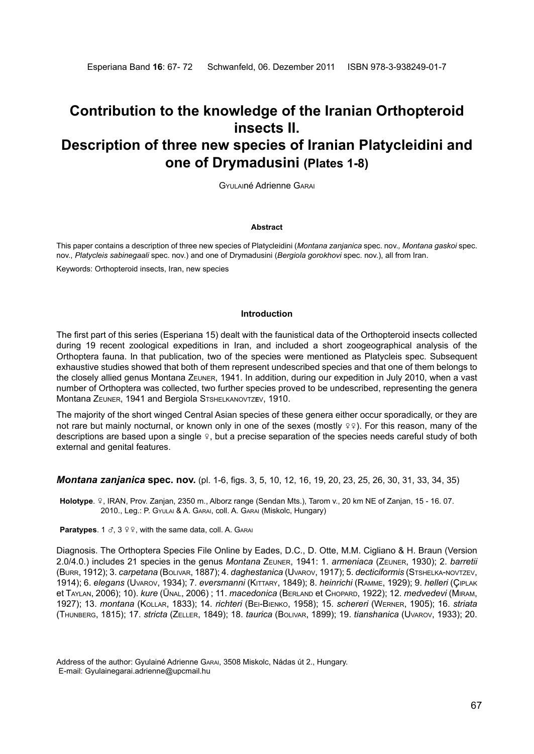# **Contribution to the knowledge of the Iranian Orthopteroid insects II. Description of three new species of Iranian Platycleidini and one of Drymadusini (Plates 1-8)**

Gyulainé Adrienne Garai

### **Abstract**

This paper contains a description of three new species of Platycleidini (*Montana zanjanica* spec. nov.*, Montana gaskoi* spec. nov., *Platycleis sabinegaali* spec. nov.) and one of Drymadusini (*Bergiola gorokhovi* spec. nov.), all from Iran. Keywords: Orthopteroid insects, Iran, new species

#### **Introduction**

The first part of this series (Esperiana 15) dealt with the faunistical data of the Orthopteroid insects collected during 19 recent zoological expeditions in Iran, and included a short zoogeographical analysis of the Orthoptera fauna. In that publication, two of the species were mentioned as Platycleis spec. Subsequent exhaustive studies showed that both of them represent undescribed species and that one of them belongs to the closely allied genus Montana Zeuner, 1941. In addition, during our expedition in July 2010, when a vast number of Orthoptera was collected, two further species proved to be undescribed, representing the genera Montana Zeuner, 1941 and Bergiola Stshelkanovtz**e**v, 1910.

The majority of the short winged Central Asian species of these genera either occur sporadically, or they are not rare but mainly nocturnal, or known only in one of the sexes (mostly  $99$ ). For this reason, many of the descriptions are based upon a single  $\varphi$ , but a precise separation of the species needs careful study of both external and genital features.

*Montana zanjanica* **spec. nov.** (pl. 1-6, figs. 3, 5, 10, 12, 16, 19, 20, 23, 25, 26, 30, 31, 33, 34, 35)

**Holotype**. w, IRAN, Prov. Zanjan, 2350 m., Alborz range (Sendan Mts.), Tarom v., 20 km NE of Zanjan, 15 - 16. 07. 2010., Leg.: P. Gyulai & A. Garai, coll. A. Garai (Miskolc, Hungary)

**Paratypes**. 1  $\delta$ , 3  $99$ , with the same data, coll. A. GARAI

Diagnosis. The Orthoptera Species File Online by Eades, D.C., D. Otte, M.M. Cigliano & H. Braun (Version 2.0/4.0.) includes 21 species in the genus *Montana* Zeuner, 1941: 1. *armeniaca* (Zeuner, 1930); 2. *barretii* (Burr, 1912); 3. *carpetana* (Bolivar, 1887); 4. *daghestanica* (Uvarov, 1917); 5. *decticiformis* (Stshelka-novtzev, 1914); 6. *elegans* (Uvarov, 1934); 7. *eversmanni* (Kittary, 1849); 8. *heinrichi* (Ramme, 1929); 9. *helleri* (Çiplak et Taylan, 2006); 10). *kure* (Ünal, 2006) ; 11. *macedonica* (Berland et Chopard, 1922); 12. *medvedevi* (Miram, 1927); 13. *montana* (Kollar, 1833); 14. *richteri* (Bei-Bienko, 1958); 15. *schereri* (Werner, 1905); 16. *striata*  (Thunberg, 1815); 17. *stricta* (Zeller, 1849); 18. *taurica* (Bolivar, 1899); 19. *tianshanica* (Uvarov, 1933); 20.

Address of the author: Gyulainé Adrienne Garai, 3508 Miskolc, Nádas út 2., Hungary. E-mail: Gyulainegarai.adrienne@upcmail.hu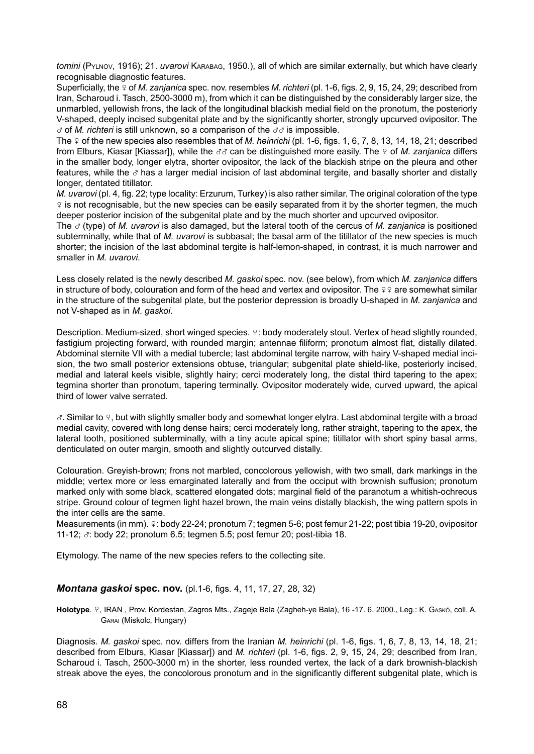*tomini* (Pylnov, 1916); 21. *uvarovi* KARABAG, 1950.), all of which are similar externally, but which have clearly recognisable diagnostic features.

Superficially, the  $\varphi$  of *M. zanjanica* spec. nov. resembles *M. richteri* (pl. 1-6, figs. 2, 9, 15, 24, 29; described from Iran, Scharoud i. Tasch, 2500-3000 m), from which it can be distinguished by the considerably larger size, the unmarbled, yellowish frons, the lack of the longitudinal blackish medial field on the pronotum, the posteriorly V-shaped, deeply incised subgenital plate and by the significantly shorter, strongly upcurved ovipositor. The  $\sigma$  of *M. richteri* is still unknown, so a comparison of the  $\sigma\sigma$  is impossible.

The  $\varphi$  of the new species also resembles that of *M. heinrichi* (pl. 1-6, figs. 1, 6, 7, 8, 13, 14, 18, 21; described from Elburs, Kiasar [Kiassar]), while the 33 can be distinguished more easily. The 9 of *M. zanjanica* differs in the smaller body, longer elytra, shorter ovipositor, the lack of the blackish stripe on the pleura and other features, while the  $\sigma$  has a larger medial incision of last abdominal tergite, and basally shorter and distally longer, dentated titillator.

*M. uvarovi* (pl. 4, fig. 22; type locality: Erzurum, Turkey) is also rather similar. The original coloration of the type  $\varphi$  is not recognisable, but the new species can be easily separated from it by the shorter tegmen, the much deeper posterior incision of the subgenital plate and by the much shorter and upcurved ovipositor.

The x (type) of *M. uvarovi* is also damaged, but the lateral tooth of the cercus of *M. zanjanica* is positioned subterminally, while that of *M. uvarovi* is subbasal; the basal arm of the titillator of the new species is much shorter; the incision of the last abdominal tergite is half-lemon-shaped, in contrast, it is much narrower and smaller in *M. uvarovi*.

Less closely related is the newly described *M. gaskoi* spec. nov. (see below), from which *M. zanjanica* differs in structure of body, colouration and form of the head and vertex and ovipositor. The  $99$  are somewhat similar in the structure of the subgenital plate, but the posterior depression is broadly U-shaped in *M. zanjanica* and not V-shaped as in *M*. *gaskoi*.

Description. Medium-sized, short winged species.  $\varphi$ : body moderately stout. Vertex of head slightly rounded, fastigium projecting forward, with rounded margin; antennae filiform; pronotum almost flat, distally dilated. Abdominal sternite VII with a medial tubercle; last abdominal tergite narrow, with hairy V-shaped medial incision, the two small posterior extensions obtuse, triangular; subgenital plate shield-like, posteriorly incised, medial and lateral keels visible, slightly hairy; cerci moderately long, the distal third tapering to the apex; tegmina shorter than pronotum, tapering terminally. Ovipositor moderately wide, curved upward, the apical third of lower valve serrated.

 $\sigma$ . Similar to  $\Omega$ , but with slightly smaller body and somewhat longer elytra. Last abdominal tergite with a broad medial cavity, covered with long dense hairs; cerci moderately long, rather straight, tapering to the apex, the lateral tooth, positioned subterminally, with a tiny acute apical spine; titillator with short spiny basal arms, denticulated on outer margin, smooth and slightly outcurved distally.

Colouration. Greyish-brown; frons not marbled, concolorous yellowish, with two small, dark markings in the middle; vertex more or less emarginated laterally and from the occiput with brownish suffusion; pronotum marked only with some black, scattered elongated dots; marginal field of the paranotum a whitish-ochreous stripe. Ground colour of tegmen light hazel brown, the main veins distally blackish, the wing pattern spots in the inter cells are the same.

Measurements (in mm). º: body 22-24; pronotum 7; tegmen 5-6; post femur 21-22; post tibia 19-20, ovipositor 11-12;  $\sigma$ : body 22; pronotum 6.5; tegmen 5.5; post femur 20; post-tibia 18.

Etymology. The name of the new species refers to the collecting site.

## *Montana gaskoi* **spec. nov.** (pl.1-6, figs. 4, 11, 17, 27, 28, 32)

Holotype. º, IRAN, Prov. Kordestan, Zagros Mts., Zageje Bala (Zagheh-ye Bala), 16-17. 6. 2000., Leg.: K. GAskó, coll. A. Garai (Miskolc, Hungary)

Diagnosis. *M. gaskoi* spec. nov. differs from the Iranian *M. heinrichi* (pl. 1-6, figs. 1, 6, 7, 8, 13, 14, 18, 21; described from Elburs, Kiasar [Kiassar]) and *M. richteri* (pl. 1-6, figs. 2, 9, 15, 24, 29; described from Iran, Scharoud i. Tasch, 2500-3000 m) in the shorter, less rounded vertex, the lack of a dark brownish-blackish streak above the eyes, the concolorous pronotum and in the significantly different subgenital plate, which is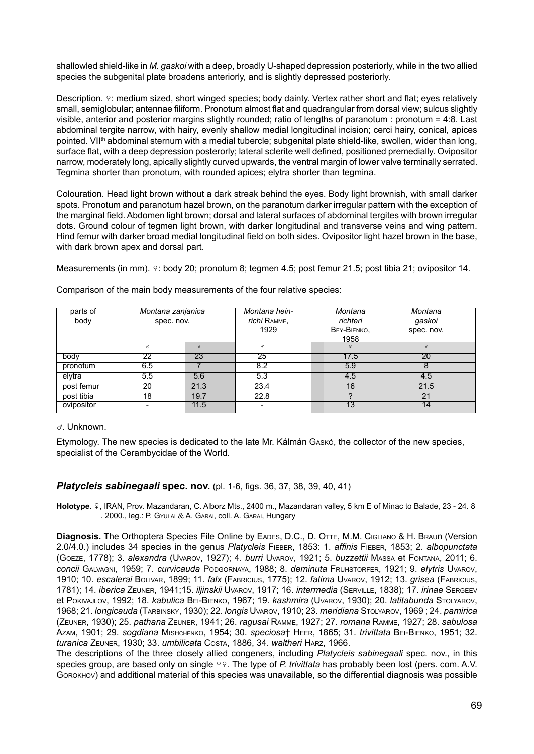shallowled shield-like in *M. gaskoi* with a deep, broadly U-shaped depression posteriorly, while in the two allied species the subgenital plate broadens anteriorly, and is slightly depressed posteriorly.

Description. 9: medium sized, short winged species; body dainty. Vertex rather short and flat; eyes relatively small, semiglobular; antennae filiform. Pronotum almost flat and quadrangular from dorsal view; sulcus slightly visible, anterior and posterior margins slightly rounded; ratio of lengths of paranotum : pronotum = 4:8. Last abdominal tergite narrow, with hairy, evenly shallow medial longitudinal incision; cerci hairy, conical, apices pointed. VII<sup>th</sup> abdominal sternum with a medial tubercle; subgenital plate shield-like, swollen, wider than long, surface flat, with a deep depression posterorly; lateral sclerite well defined, positioned premedially. Ovipositor narrow, moderately long, apically slightly curved upwards, the ventral margin of lower valve terminally serrated. Tegmina shorter than pronotum, with rounded apices; elytra shorter than tegmina.

Colouration. Head light brown without a dark streak behind the eyes. Body light brownish, with small darker spots. Pronotum and paranotum hazel brown, on the paranotum darker irregular pattern with the exception of the marginal field. Abdomen light brown; dorsal and lateral surfaces of abdominal tergites with brown irregular dots. Ground colour of tegmen light brown, with darker longitudinal and transverse veins and wing pattern. Hind femur with darker broad medial longitudinal field on both sides. Ovipositor light hazel brown in the base, with dark brown apex and dorsal part.

Measurements (in mm).  $\varphi$ : body 20; pronotum 8; tegmen 4.5; post femur 21.5; post tibia 21; ovipositor 14.

| parts of   | Montana zanjanica |      | Montana hein- | Montana     | Montana    |
|------------|-------------------|------|---------------|-------------|------------|
| body       | spec. nov.        |      | richi RAMME,  | richteri    | gaskoi     |
|            |                   |      | 1929          | BEY-BIENKO, | spec. nov. |
|            |                   |      |               | 1958        |            |
|            | ₹                 |      | 8             |             |            |
| body       | 22                | 23   | 25            | 17.5        | 20         |
| pronotum   | 6.5               |      | 8.2           | 5.9         | ŏ          |
| elytra     | 5.5               | 5.6  | 5.3           | 4.5         | 4.5        |
| post femur | 20                | 21.3 | 23.4          | 16          | 21.5       |
| post tibia | 18                | 19.7 | 22.8          |             | 21         |
| ovipositor |                   | 11.5 | ۰             | 13          | 14         |

Comparison of the main body measurements of the four relative species:

x. Unknown.

Etymology. The new species is dedicated to the late Mr. Kálmán Gaskó, the collector of the new species, specialist of the Cerambycidae of the World.

## *Platycleis sabinegaali* **spec. nov.** (pl. 1-6, figs. 36, 37, 38, 39, 40, 41)

**Holotype**. w, IRAN, Prov. Mazandaran, C. Alborz Mts., 2400 m., Mazandaran valley, 5 km E of Minac to Balade, 23 - 24. 8 . 2000., leg.: P. Gyulai & A. Garai, coll. A. Garai, Hungary

Diagnosis. The Orthoptera Species File Online by EADES, D.C., D. OTTE, M.M. CIGLIANO & H. BRAUN (Version 2.0/4.0.) includes 34 species in the genus *Platycleis* Fieber, 1853: 1. *affinis* Fieber, 1853; 2. *albopunctata*  (Goeze, 1778); 3. *alexandra* (Uvarov, 1927); 4. *burri* Uvarov, 1921; 5. *buzzettii* Massa et Fontana, 2011; 6. *concii* Galvagni, 1959; 7. *curvicauda* Podgornaya, 1988; 8. *deminuta* Fruhstorfer, 1921; 9. *elytris* Uvarov, 1910; 10. *escalerai* Bolivar, 1899; 11. *falx* (Fabricius, 1775); 12. *fatima* Uvarov, 1912; 13. *grisea* (Fabricius, 1781); 14. *iberica* Zeuner, 1941;15. *iljinskii* Uvarov, 1917; 16. *intermedia* (Serville, 1838); 17. *irinae* Sergeev et Pokivajlov, 1992; 18. *kabulica* Bei-Bienko, 1967; 19. *kashmira* (Uvarov, 1930); 20. *latitabunda* Stolyarov, 1968; 21. *longicauda* (Tarbinsky, 1930); 22. *longis* Uvarov, 1910; 23. *meridiana* Stolyarov, 1969 ; 24. *pamirica*  (Zeuner, 1930); 25. *pathana* Zeuner, 1941; 26. *ragusai* Ramme, 1927; 27. *romana* Ramme, 1927; 28. *sabulosa*  Azam, 1901; 29. *sogdiana* Mishchenko, 1954; 30. *speciosa*† Heer, 1865; 31. *trivittata* Bei-Bienko, 1951; 32. *turanica* Zeuner, 1930; 33. *umbilicata* Costa, 1886, 34. *waltheri* Harz, 1966.

The descriptions of the three closely allied congeners, including *Platycleis sabinegaali* spec. nov., in this species group, are based only on single  $\varphi$ . The type of *P. trivittata* has probably been lost (pers. com. A.V. Gorokhov) and additional material of this species was unavailable, so the differential diagnosis was possible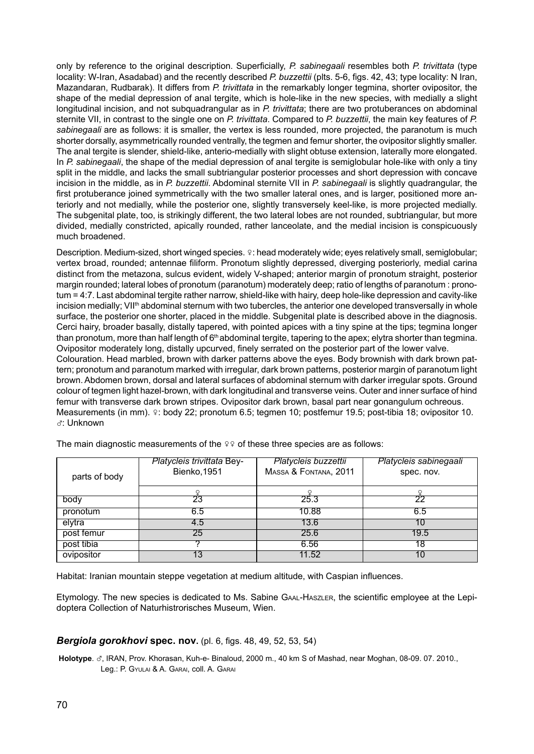only by reference to the original description. Superficially, *P. sabinegaali* resembles both *P. trivittata* (type locality: W-Iran, Asadabad) and the recently described *P. buzzettii* (plts. 5-6, figs. 42, 43; type locality: N Iran, Mazandaran, Rudbarak). It differs from *P. trivittata* in the remarkably longer tegmina, shorter ovipositor, the shape of the medial depression of anal tergite, which is hole-like in the new species, with medially a slight longitudinal incision, and not subquadrangular as in *P. trivittata*; there are two protuberances on abdominal sternite VII, in contrast to the single one on *P. trivittata*. Compared to *P. buzzettii*, the main key features of *P.*  sabinegaali are as follows: it is smaller, the vertex is less rounded, more projected, the paranotum is much shorter dorsally, asymmetrically rounded ventrally, the tegmen and femur shorter, the ovipositor slightly smaller. The anal tergite is slender, shield-like, anterio-medially with slight obtuse extension, laterally more elongated. In *P. sabinegaali*, the shape of the medial depression of anal tergite is semiglobular hole-like with only a tiny split in the middle, and lacks the small subtriangular posterior processes and short depression with concave incision in the middle, as in *P. buzzettii*. Abdominal sternite VII in *P. sabinegaali* is slightly quadrangular, the first protuberance joined symmetrically with the two smaller lateral ones, and is larger, positioned more anteriorly and not medially, while the posterior one, slightly transversely keel-like, is more projected medially. The subgenital plate, too, is strikingly different, the two lateral lobes are not rounded, subtriangular, but more divided, medially constricted, apically rounded, rather lanceolate, and the medial incision is conspicuously much broadened.

Description. Medium-sized, short winged species.  $\varphi$ : head moderately wide; eyes relatively small, semiglobular; vertex broad, rounded; antennae filiform. Pronotum slightly depressed, diverging posteriorly, medial carina distinct from the metazona, sulcus evident, widely V-shaped; anterior margin of pronotum straight, posterior margin rounded; lateral lobes of pronotum (paranotum) moderately deep; ratio of lengths of paranotum : pronotum = 4:7. Last abdominal tergite rather narrow, shield-like with hairy, deep hole-like depression and cavity-like incision medially; VII<sup>th</sup> abdominal sternum with two tubercles, the anterior one developed transversally in whole surface, the posterior one shorter, placed in the middle. Subgenital plate is described above in the diagnosis. Cerci hairy, broader basally, distally tapered, with pointed apices with a tiny spine at the tips; tegmina longer than pronotum, more than half length of 6<sup>th</sup> abdominal tergite, tapering to the apex; elytra shorter than tegmina. Ovipositor moderately long, distally upcurved, finely serrated on the posterior part of the lower valve. Colouration. Head marbled, brown with darker patterns above the eyes. Body brownish with dark brown pattern; pronotum and paranotum marked with irregular, dark brown patterns, posterior margin of paranotum light brown. Abdomen brown, dorsal and lateral surfaces of abdominal sternum with darker irregular spots. Ground colour of tegmen light hazel-brown, with dark longitudinal and transverse veins. Outer and inner surface of hind femur with transverse dark brown stripes. Ovipositor dark brown, basal part near gonangulum ochreous. Measurements (in mm).  $\circ$ : body 22; pronotum 6.5; tegmen 10; postfemur 19.5; post-tibia 18; ovipositor 10. x: Unknown

|               | <b>Platycleis trivittata Bey-</b> | Platycleis buzzettii  | Platycleis sabinegaali |
|---------------|-----------------------------------|-----------------------|------------------------|
| parts of body | Bienko, 1951                      | MASSA & FONTANA, 2011 | spec. nov.             |
|               |                                   |                       |                        |
|               |                                   |                       |                        |
| body          | 23                                | 25.3                  | つつ                     |
| pronotum      | 6.5                               | 10.88                 | 6.5                    |
| elytra        | 4.5                               | 13.6                  |                        |
| post femur    | 25                                | 25.6                  | 19.5                   |
| post tibia    |                                   | 6.56                  |                        |
| ovipositor    |                                   | 11.52                 |                        |

The main diagnostic measurements of the  $99$  of these three species are as follows:

Habitat: Iranian mountain steppe vegetation at medium altitude, with Caspian influences.

Etymology. The new species is dedicated to Ms. Sabine Gaal-Haszler, the scientific employee at the Lepidoptera Collection of Naturhistrorisches Museum, Wien.

## *Bergiola gorokhovi* **spec. nov.** (pl. 6, figs. 48, 49, 52, 53, 54)

Holotype.  $\sigma$ , IRAN, Prov. Khorasan, Kuh-e- Binaloud, 2000 m., 40 km S of Mashad, near Moghan, 08-09. 07. 2010., Leg.: P. Gyulai & A. Garai, coll. A. Garai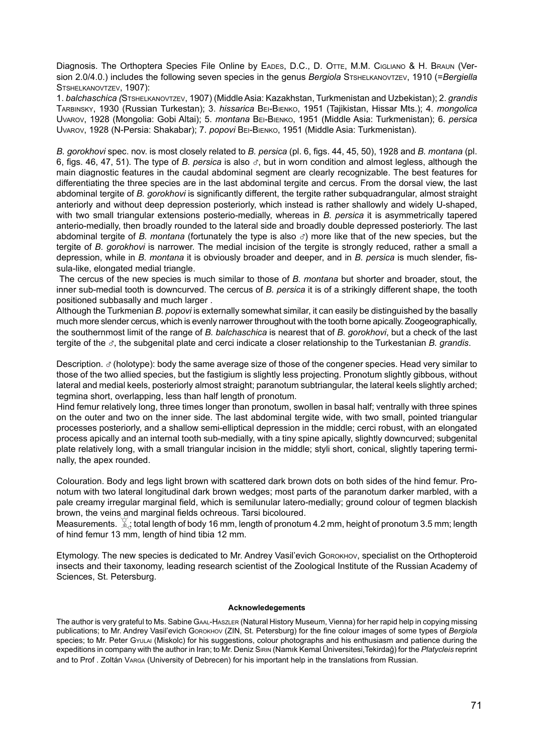Diagnosis. The Orthoptera Species File Online by EADES, D.C., D. OTTE, M.M. CIGLIANO & H. BRAUN (Version 2.0/4.0.) includes the following seven species in the genus *Bergiola* Stshelkanovtzev, 1910 (=*Bergiella* STSHELKANOVTZEV, 1907):

1. *balchaschica (*Stshelkanovtzev, 1907) (Middle Asia: Kazakhstan, Turkmenistan and Uzbekistan); 2. *grandis* Tarbinsky, 1930 (Russian Turkestan); 3. *hissarica* Bei-Bienko, 1951 (Tajikistan, Hissar Mts.); 4. *mongolica* Uvarov, 1928 (Mongolia: Gobi Altai); 5. *montana* Bei-Bienko, 1951 (Middle Asia: Turkmenistan); 6. *persica* Uvarov, 1928 (N-Persia: Shakabar); 7. *popovi* Bei-Bienko, 1951 (Middle Asia: Turkmenistan).

*B. gorokhovi* spec. nov. is most closely related to *B. persica* (pl. 6, figs. 44, 45, 50), 1928 and *B. montana* (pl. 6, figs. 46, 47, 51). The type of *B. persica* is also  $\sigma$ , but in worn condition and almost legless, although the main diagnostic features in the caudal abdominal segment are clearly recognizable. The best features for differentiating the three species are in the last abdominal tergite and cercus. From the dorsal view, the last abdominal tergite of *B. gorokhovi* is significantly different, the tergite rather subquadrangular, almost straight anteriorly and without deep depression posteriorly, which instead is rather shallowly and widely U-shaped, with two small triangular extensions posterio-medially, whereas in *B. persica* it is asymmetrically tapered anterio-medially, then broadly rounded to the lateral side and broadly double depressed posteriorly. The last abdominal tergite of *B. montana* (fortunately the type is also  $\sigma$ ) more like that of the new species, but the tergite of *B. gorokhovi* is narrower. The medial incision of the tergite is strongly reduced, rather a small a depression, while in *B. montana* it is obviously broader and deeper, and in *B. persica* is much slender, fissula-like, elongated medial triangle.

 The cercus of the new species is much similar to those of *B. montana* but shorter and broader, stout, the inner sub-medial tooth is downcurved. The cercus of *B. persica* it is of a strikingly different shape, the tooth positioned subbasally and much larger .

Although the Turkmenian *B. popovi* is externally somewhat similar, it can easily be distinguished by the basally much more slender cercus, which is evenly narrower throughout with the tooth borne apically. Zoogeographically, the southernmost limit of the range of *B. balchaschica* is nearest that of *B. gorokhovi*, but a check of the last tergite of the x, the subgenital plate and cerci indicate a closer relationship to the Turkestanian *B. grandis*.

Description.  $\sigma$  (holotype): body the same average size of those of the congener species. Head very similar to those of the two allied species, but the fastigium is slightly less projecting. Pronotum slightly gibbous, without lateral and medial keels, posteriorly almost straight; paranotum subtriangular, the lateral keels slightly arched; tegmina short, overlapping, less than half length of pronotum.

Hind femur relatively long, three times longer than pronotum, swollen in basal half; ventrally with three spines on the outer and two on the inner side. The last abdominal tergite wide, with two small, pointed triangular processes posteriorly, and a shallow semi-elliptical depression in the middle; cerci robust, with an elongated process apically and an internal tooth sub-medially, with a tiny spine apically, slightly downcurved; subgenital plate relatively long, with a small triangular incision in the middle; styli short, conical, slightly tapering terminally, the apex rounded.

Colouration. Body and legs light brown with scattered dark brown dots on both sides of the hind femur. Pronotum with two lateral longitudinal dark brown wedges; most parts of the paranotum darker marbled, with a pale creamy irregular marginal field, which is semilunular latero-medially; ground colour of tegmen blackish brown, the veins and marginal fields ochreous. Tarsi bicoloured.

Measurements.  $\mathbb{X}$ : total length of body 16 mm, length of pronotum 4.2 mm, height of pronotum 3.5 mm; length of hind femur 13 mm, length of hind tibia 12 mm.

Etymology. The new species is dedicated to Mr. Andrey Vasil'evich GOROKHOV, specialist on the Orthopteroid insects and their taxonomy, leading research scientist of the Zoological Institute of the Russian Academy of Sciences, St. Petersburg.

#### **Acknowledegements**

The author is very grateful to Ms. Sabine Gaal-Haszler (Natural History Museum, Vienna) for her rapid help in copying missing publications; to Mr. Andrey Vasil'evich Gorokhov (ZIN, St. Petersburg) for the fine colour images of some types of *Bergiola* species; to Mr. Peter Gyulai (Miskolc) for his suggestions, colour photographs and his enthusiasm and patience during the expeditions in company with the author in Iran; to Mr. Deniz Sirin (Namık Kemal Üniversitesi,Tekirdağ) for the *Platycleis* reprint and to Prof . Zoltán Varga (University of Debrecen) for his important help in the translations from Russian.